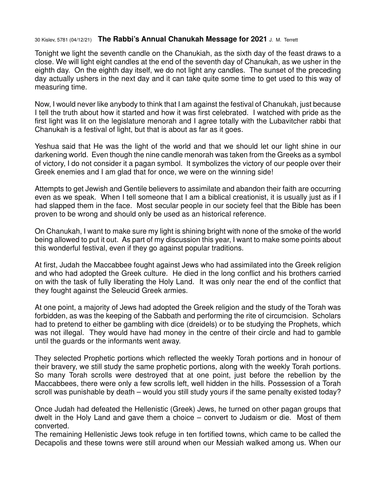## 30 Kislev, 5781 (04/12/21) **The Rabbi's Annual Chanukah Message for 2021** J. M. Terrett

Tonight we light the seventh candle on the Chanukiah, as the sixth day of the feast draws to a close. We will light eight candles at the end of the seventh day of Chanukah, as we usher in the eighth day. On the eighth day itself, we do not light any candles. The sunset of the preceding day actually ushers in the next day and it can take quite some time to get used to this way of measuring time.

Now, I would never like anybody to think that I am against the festival of Chanukah, just because I tell the truth about how it started and how it was first celebrated. I watched with pride as the first light was lit on the legislature menorah and I agree totally with the Lubavitcher rabbi that Chanukah is a festival of light, but that is about as far as it goes.

Yeshua said that He was the light of the world and that we should let our light shine in our darkening world. Even though the nine candle menorah was taken from the Greeks as a symbol of victory, I do not consider it a pagan symbol. It symbolizes the victory of our people over their Greek enemies and I am glad that for once, we were on the winning side!

Attempts to get Jewish and Gentile believers to assimilate and abandon their faith are occurring even as we speak. When I tell someone that I am a biblical creationist, it is usually just as if I had slapped them in the face. Most secular people in our society feel that the Bible has been proven to be wrong and should only be used as an historical reference.

On Chanukah, I want to make sure my light is shining bright with none of the smoke of the world being allowed to put it out. As part of my discussion this year, I want to make some points about this wonderful festival, even if they go against popular traditions.

At first, Judah the Maccabbee fought against Jews who had assimilated into the Greek religion and who had adopted the Greek culture. He died in the long conflict and his brothers carried on with the task of fully liberating the Holy Land. It was only near the end of the conflict that they fought against the Seleucid Greek armies.

At one point, a majority of Jews had adopted the Greek religion and the study of the Torah was forbidden, as was the keeping of the Sabbath and performing the rite of circumcision. Scholars had to pretend to either be gambling with dice (dreidels) or to be studying the Prophets, which was not illegal. They would have had money in the centre of their circle and had to gamble until the guards or the informants went away.

They selected Prophetic portions which reflected the weekly Torah portions and in honour of their bravery, we still study the same prophetic portions, along with the weekly Torah portions. So many Torah scrolls were destroyed that at one point, just before the rebellion by the Maccabbees, there were only a few scrolls left, well hidden in the hills. Possession of a Torah scroll was punishable by death – would you still study yours if the same penalty existed today?

Once Judah had defeated the Hellenistic (Greek) Jews, he turned on other pagan groups that dwelt in the Holy Land and gave them a choice – convert to Judaism or die. Most of them converted.

The remaining Hellenistic Jews took refuge in ten fortified towns, which came to be called the Decapolis and these towns were still around when our Messiah walked among us. When our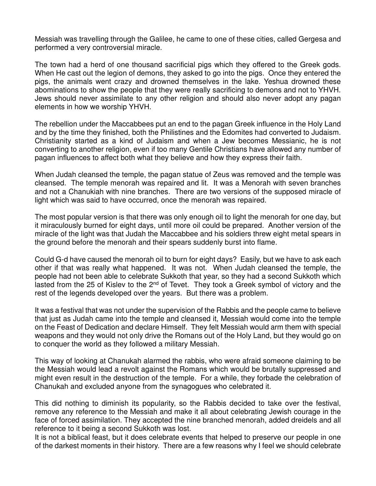Messiah was travelling through the Galilee, he came to one of these cities, called Gergesa and performed a very controversial miracle.

The town had a herd of one thousand sacrificial pigs which they offered to the Greek gods. When He cast out the legion of demons, they asked to go into the pigs. Once they entered the pigs, the animals went crazy and drowned themselves in the lake. Yeshua drowned these abominations to show the people that they were really sacrificing to demons and not to YHVH. Jews should never assimilate to any other religion and should also never adopt any pagan elements in how we worship YHVH.

The rebellion under the Maccabbees put an end to the pagan Greek influence in the Holy Land and by the time they finished, both the Philistines and the Edomites had converted to Judaism. Christianity started as a kind of Judaism and when a Jew becomes Messianic, he is not converting to another religion, even if too many Gentile Christians have allowed any number of pagan influences to affect both what they believe and how they express their faith.

When Judah cleansed the temple, the pagan statue of Zeus was removed and the temple was cleansed. The temple menorah was repaired and lit. It was a Menorah with seven branches and not a Chanukiah with nine branches. There are two versions of the supposed miracle of light which was said to have occurred, once the menorah was repaired.

The most popular version is that there was only enough oil to light the menorah for one day, but it miraculously burned for eight days, until more oil could be prepared. Another version of the miracle of the light was that Judah the Maccabbee and his soldiers threw eight metal spears in the ground before the menorah and their spears suddenly burst into flame.

Could G-d have caused the menorah oil to burn for eight days? Easily, but we have to ask each other if that was really what happened. It was not. When Judah cleansed the temple, the people had not been able to celebrate Sukkoth that year, so they had a second Sukkoth which lasted from the 25 of Kislev to the 2<sup>nd</sup> of Tevet. They took a Greek symbol of victory and the rest of the legends developed over the years. But there was a problem.

It was a festival that was not under the supervision of the Rabbis and the people came to believe that just as Judah came into the temple and cleansed it, Messiah would come into the temple on the Feast of Dedication and declare Himself. They felt Messiah would arm them with special weapons and they would not only drive the Romans out of the Holy Land, but they would go on to conquer the world as they followed a military Messiah.

This way of looking at Chanukah alarmed the rabbis, who were afraid someone claiming to be the Messiah would lead a revolt against the Romans which would be brutally suppressed and might even result in the destruction of the temple. For a while, they forbade the celebration of Chanukah and excluded anyone from the synagogues who celebrated it.

This did nothing to diminish its popularity, so the Rabbis decided to take over the festival, remove any reference to the Messiah and make it all about celebrating Jewish courage in the face of forced assimilation. They accepted the nine branched menorah, added dreidels and all reference to it being a second Sukkoth was lost.

It is not a biblical feast, but it does celebrate events that helped to preserve our people in one of the darkest moments in their history. There are a few reasons why I feel we should celebrate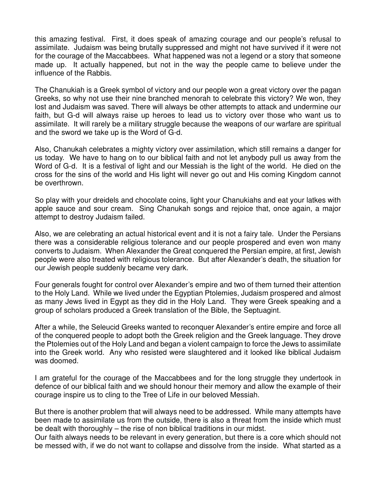this amazing festival. First, it does speak of amazing courage and our people's refusal to assimilate. Judaism was being brutally suppressed and might not have survived if it were not for the courage of the Maccabbees. What happened was not a legend or a story that someone made up. It actually happened, but not in the way the people came to believe under the influence of the Rabbis.

The Chanukiah is a Greek symbol of victory and our people won a great victory over the pagan Greeks, so why not use their nine branched menorah to celebrate this victory? We won, they lost and Judaism was saved. There will always be other attempts to attack and undermine our faith, but G-d will always raise up heroes to lead us to victory over those who want us to assimilate. It will rarely be a military struggle because the weapons of our warfare are spiritual and the sword we take up is the Word of G-d.

Also, Chanukah celebrates a mighty victory over assimilation, which still remains a danger for us today. We have to hang on to our biblical faith and not let anybody pull us away from the Word of G-d. It is a festival of light and our Messiah is the light of the world. He died on the cross for the sins of the world and His light will never go out and His coming Kingdom cannot be overthrown.

So play with your dreidels and chocolate coins, light your Chanukiahs and eat your latkes with apple sauce and sour cream. Sing Chanukah songs and rejoice that, once again, a major attempt to destroy Judaism failed.

Also, we are celebrating an actual historical event and it is not a fairy tale. Under the Persians there was a considerable religious tolerance and our people prospered and even won many converts to Judaism. When Alexander the Great conquered the Persian empire, at first, Jewish people were also treated with religious tolerance. But after Alexander's death, the situation for our Jewish people suddenly became very dark.

Four generals fought for control over Alexander's empire and two of them turned their attention to the Holy Land. While we lived under the Egyptian Ptolemies, Judaism prospered and almost as many Jews lived in Egypt as they did in the Holy Land. They were Greek speaking and a group of scholars produced a Greek translation of the Bible, the Septuagint.

After a while, the Seleucid Greeks wanted to reconquer Alexander's entire empire and force all of the conquered people to adopt both the Greek religion and the Greek language. They drove the Ptolemies out of the Holy Land and began a violent campaign to force the Jews to assimilate into the Greek world. Any who resisted were slaughtered and it looked like biblical Judaism was doomed.

I am grateful for the courage of the Maccabbees and for the long struggle they undertook in defence of our biblical faith and we should honour their memory and allow the example of their courage inspire us to cling to the Tree of Life in our beloved Messiah.

But there is another problem that will always need to be addressed. While many attempts have been made to assimilate us from the outside, there is also a threat from the inside which must be dealt with thoroughly – the rise of non biblical traditions in our midst.

Our faith always needs to be relevant in every generation, but there is a core which should not be messed with, if we do not want to collapse and dissolve from the inside. What started as a